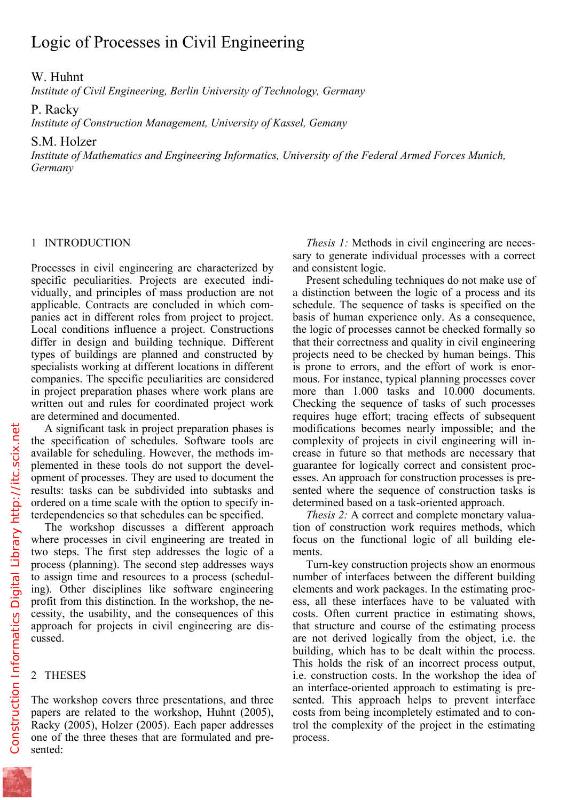Logic of Processes in Civil Engineering

## W. Huhnt

*Institute of Civil Engineering, Berlin University of Technology, Germany* 

P. Racky

*Institute of Construction Management, University of Kassel, Gemany* 

S.M. Holzer

*Institute of Mathematics and Engineering Informatics, University of the Federal Armed Forces Munich, Germany* 

## 1 INTRODUCTION

Processes in civil engineering are characterized by specific peculiarities. Projects are executed individually, and principles of mass production are not applicable. Contracts are concluded in which companies act in different roles from project to project. Local conditions influence a project. Constructions differ in design and building technique. Different types of buildings are planned and constructed by specialists working at different locations in different companies. The specific peculiarities are considered in project preparation phases where work plans are written out and rules for coordinated project work are determined and documented.

A significant task in project preparation phases is the specification of schedules. Software tools are available for scheduling. However, the methods implemented in these tools do not support the development of processes. They are used to document the results: tasks can be subdivided into subtasks and ordered on a time scale with the option to specify interdependencies so that schedules can be specified.

The workshop discusses a different approach where processes in civil engineering are treated in two steps. The first step addresses the logic of a process (planning). The second step addresses ways to assign time and resources to a process (scheduling). Other disciplines like software engineering profit from this distinction. In the workshop, the necessity, the usability, and the consequences of this approach for projects in civil engineering are discussed.

## 2 THESES

The workshop covers three presentations, and three papers are related to the workshop, Huhnt (2005), Racky (2005), Holzer (2005). Each paper addresses one of the three theses that are formulated and presented:

*Thesis 1:* Methods in civil engineering are necessary to generate individual processes with a correct and consistent logic.

Present scheduling techniques do not make use of a distinction between the logic of a process and its schedule. The sequence of tasks is specified on the basis of human experience only. As a consequence, the logic of processes cannot be checked formally so that their correctness and quality in civil engineering projects need to be checked by human beings. This is prone to errors, and the effort of work is enormous. For instance, typical planning processes cover more than 1.000 tasks and 10.000 documents. Checking the sequence of tasks of such processes requires huge effort; tracing effects of subsequent modifications becomes nearly impossible; and the complexity of projects in civil engineering will increase in future so that methods are necessary that guarantee for logically correct and consistent processes. An approach for construction processes is presented where the sequence of construction tasks is determined based on a task-oriented approach.

*Thesis 2:* A correct and complete monetary valuation of construction work requires methods, which focus on the functional logic of all building elements.

Turn-key construction projects show an enormous number of interfaces between the different building elements and work packages. In the estimating process, all these interfaces have to be valuated with costs. Often current practice in estimating shows, that structure and course of the estimating process are not derived logically from the object, i.e. the building, which has to be dealt within the process. This holds the risk of an incorrect process output, i.e. construction costs. In the workshop the idea of an interface-oriented approach to estimating is presented. This approach helps to prevent interface costs from being incompletely estimated and to control the complexity of the project in the estimating process.